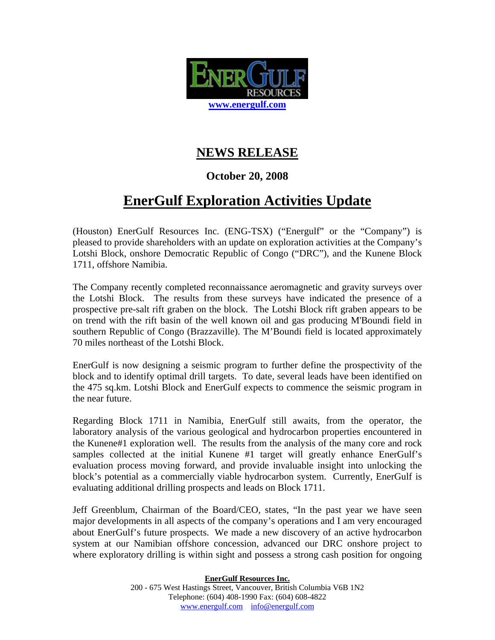

## **NEWS RELEASE**

### **October 20, 2008**

# **EnerGulf Exploration Activities Update**

(Houston) EnerGulf Resources Inc. (ENG-TSX) ("Energulf" or the "Company") is pleased to provide shareholders with an update on exploration activities at the Company's Lotshi Block, onshore Democratic Republic of Congo ("DRC"), and the Kunene Block 1711, offshore Namibia.

The Company recently completed reconnaissance aeromagnetic and gravity surveys over the Lotshi Block. The results from these surveys have indicated the presence of a prospective pre-salt rift graben on the block. The Lotshi Block rift graben appears to be on trend with the rift basin of the well known oil and gas producing M'Boundi field in southern Republic of Congo (Brazzaville). The M'Boundi field is located approximately 70 miles northeast of the Lotshi Block.

EnerGulf is now designing a seismic program to further define the prospectivity of the block and to identify optimal drill targets. To date, several leads have been identified on the 475 sq.km. Lotshi Block and EnerGulf expects to commence the seismic program in the near future.

Regarding Block 1711 in Namibia, EnerGulf still awaits, from the operator, the laboratory analysis of the various geological and hydrocarbon properties encountered in the Kunene#1 exploration well. The results from the analysis of the many core and rock samples collected at the initial Kunene #1 target will greatly enhance EnerGulf's evaluation process moving forward, and provide invaluable insight into unlocking the block's potential as a commercially viable hydrocarbon system. Currently, EnerGulf is evaluating additional drilling prospects and leads on Block 1711.

Jeff Greenblum, Chairman of the Board/CEO, states, "In the past year we have seen major developments in all aspects of the company's operations and I am very encouraged about EnerGulf's future prospects. We made a new discovery of an active hydrocarbon system at our Namibian offshore concession, advanced our DRC onshore project to where exploratory drilling is within sight and possess a strong cash position for ongoing

#### **EnerGulf Resources Inc.**